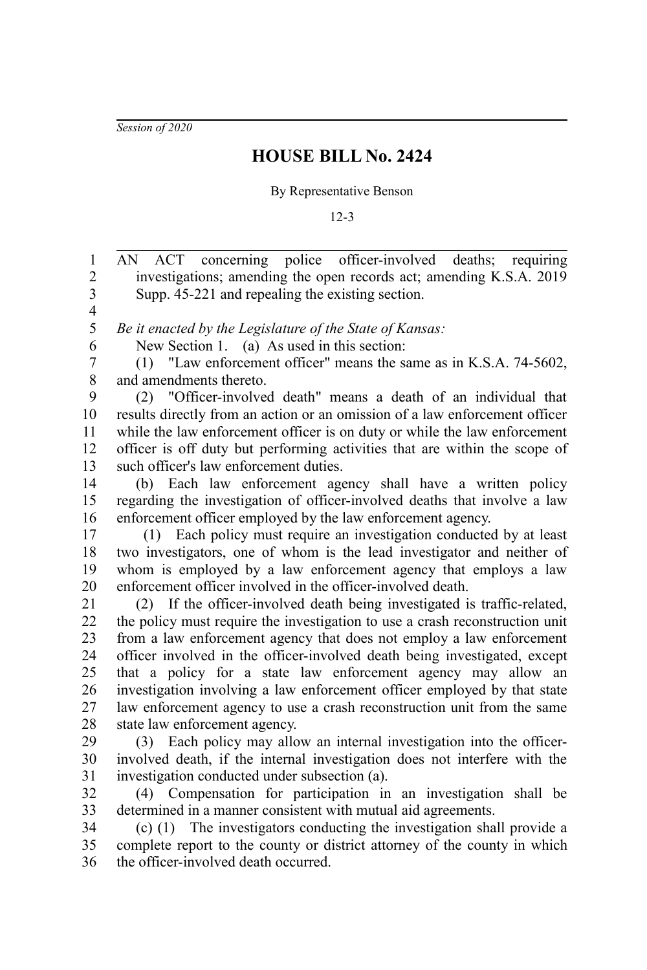*Session of 2020*

## **HOUSE BILL No. 2424**

## By Representative Benson

12-3

AN ACT concerning police officer-involved deaths; requiring investigations; amending the open records act; amending K.S.A. 2019 Supp. 45-221 and repealing the existing section. 1 2 3

4 5

6

*Be it enacted by the Legislature of the State of Kansas:*

New Section 1. (a) As used in this section:

(1) "Law enforcement officer" means the same as in K.S.A. 74-5602, and amendments thereto. 7 8

(2) "Officer-involved death" means a death of an individual that results directly from an action or an omission of a law enforcement officer while the law enforcement officer is on duty or while the law enforcement officer is off duty but performing activities that are within the scope of such officer's law enforcement duties. 9 10 11 12 13

(b) Each law enforcement agency shall have a written policy regarding the investigation of officer-involved deaths that involve a law enforcement officer employed by the law enforcement agency. 14 15 16

 (1) Each policy must require an investigation conducted by at least two investigators, one of whom is the lead investigator and neither of whom is employed by a law enforcement agency that employs a law enforcement officer involved in the officer-involved death. 17 18 19 20

(2) If the officer-involved death being investigated is traffic-related, the policy must require the investigation to use a crash reconstruction unit from a law enforcement agency that does not employ a law enforcement officer involved in the officer-involved death being investigated, except that a policy for a state law enforcement agency may allow an investigation involving a law enforcement officer employed by that state law enforcement agency to use a crash reconstruction unit from the same state law enforcement agency. 21 22 23 24 25 26 27 28

(3) Each policy may allow an internal investigation into the officerinvolved death, if the internal investigation does not interfere with the investigation conducted under subsection (a). 29 30 31

(4) Compensation for participation in an investigation shall be determined in a manner consistent with mutual aid agreements. 32 33

(c) (1) The investigators conducting the investigation shall provide a complete report to the county or district attorney of the county in which the officer-involved death occurred. 34 35 36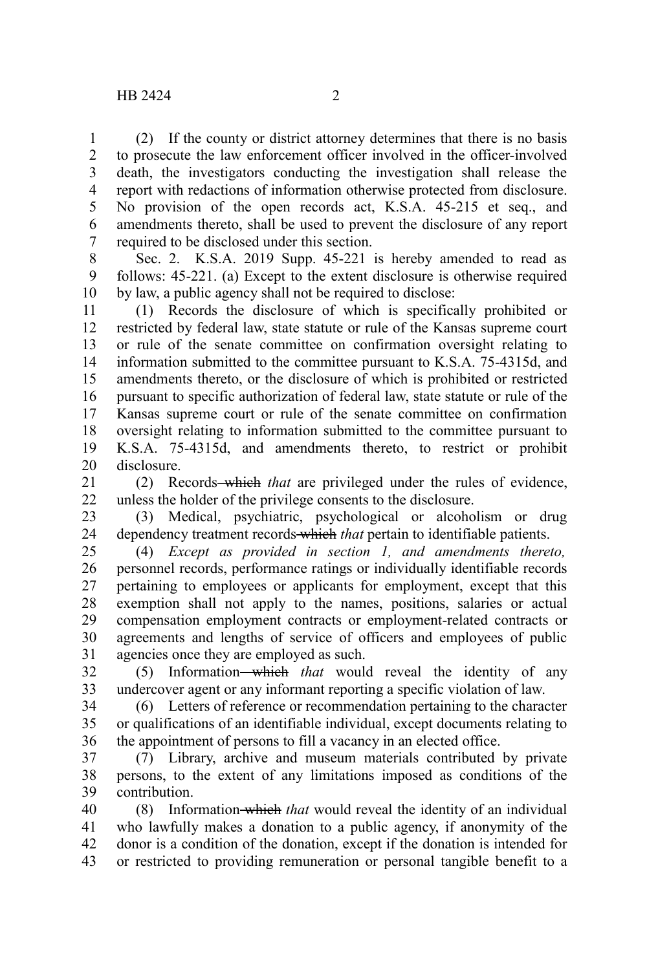(2) If the county or district attorney determines that there is no basis to prosecute the law enforcement officer involved in the officer-involved death, the investigators conducting the investigation shall release the report with redactions of information otherwise protected from disclosure. No provision of the open records act, K.S.A. 45-215 et seq., and amendments thereto, shall be used to prevent the disclosure of any report required to be disclosed under this section. 1 2 3 4 5 6 7

Sec. 2. K.S.A. 2019 Supp. 45-221 is hereby amended to read as follows: 45-221. (a) Except to the extent disclosure is otherwise required by law, a public agency shall not be required to disclose: 8 9 10

(1) Records the disclosure of which is specifically prohibited or restricted by federal law, state statute or rule of the Kansas supreme court or rule of the senate committee on confirmation oversight relating to information submitted to the committee pursuant to K.S.A. 75-4315d, and amendments thereto, or the disclosure of which is prohibited or restricted pursuant to specific authorization of federal law, state statute or rule of the Kansas supreme court or rule of the senate committee on confirmation oversight relating to information submitted to the committee pursuant to K.S.A. 75-4315d, and amendments thereto, to restrict or prohibit disclosure. 11 12 13 14 15 16 17 18 19 20

(2) Records which *that* are privileged under the rules of evidence, unless the holder of the privilege consents to the disclosure. 21 22

(3) Medical, psychiatric, psychological or alcoholism or drug dependency treatment records which *that* pertain to identifiable patients. 23 24

(4) *Except as provided in section 1, and amendments thereto,* personnel records, performance ratings or individually identifiable records pertaining to employees or applicants for employment, except that this exemption shall not apply to the names, positions, salaries or actual compensation employment contracts or employment-related contracts or agreements and lengths of service of officers and employees of public agencies once they are employed as such. 25 26 27 28 29 30 31

(5) Information which *that* would reveal the identity of any undercover agent or any informant reporting a specific violation of law. 32 33

(6) Letters of reference or recommendation pertaining to the character or qualifications of an identifiable individual, except documents relating to the appointment of persons to fill a vacancy in an elected office. 34 35 36

(7) Library, archive and museum materials contributed by private persons, to the extent of any limitations imposed as conditions of the contribution. 37 38 39

(8) Information which *that* would reveal the identity of an individual who lawfully makes a donation to a public agency, if anonymity of the donor is a condition of the donation, except if the donation is intended for or restricted to providing remuneration or personal tangible benefit to a 40 41 42 43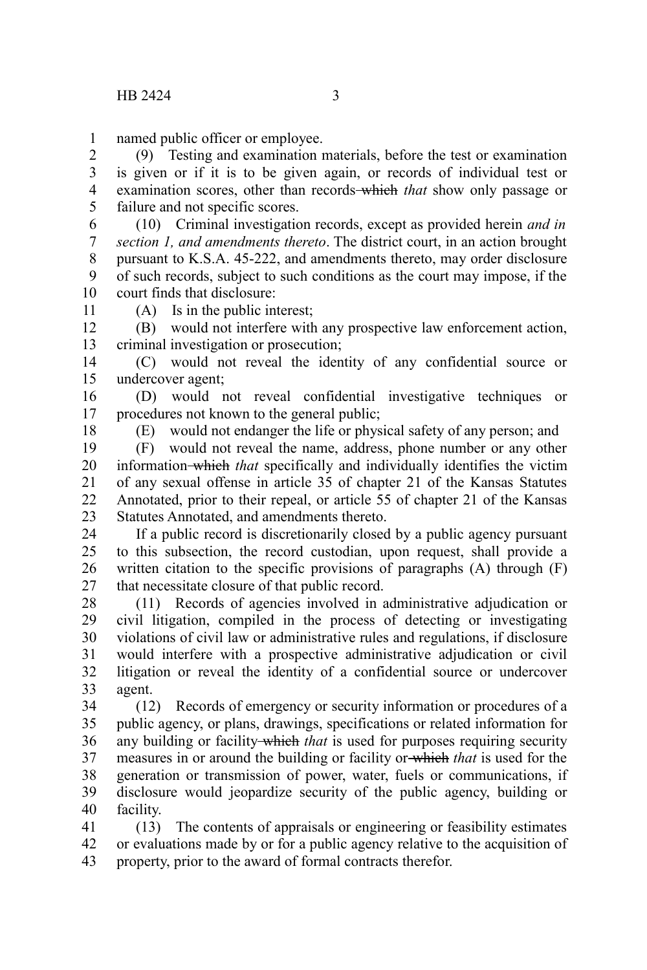named public officer or employee. 1

(9) Testing and examination materials, before the test or examination is given or if it is to be given again, or records of individual test or examination scores, other than records which *that* show only passage or failure and not specific scores. 2 3 4 5

(10) Criminal investigation records, except as provided herein *and in section 1, and amendments thereto*. The district court, in an action brought pursuant to K.S.A. 45-222, and amendments thereto, may order disclosure of such records, subject to such conditions as the court may impose, if the court finds that disclosure: 6 7 8 9 10

11

(A) Is in the public interest;

(B) would not interfere with any prospective law enforcement action, criminal investigation or prosecution; 12 13

(C) would not reveal the identity of any confidential source or undercover agent; 14 15

(D) would not reveal confidential investigative techniques or procedures not known to the general public; 16 17

18

(E) would not endanger the life or physical safety of any person; and

(F) would not reveal the name, address, phone number or any other information which *that* specifically and individually identifies the victim of any sexual offense in article 35 of chapter 21 of the Kansas Statutes Annotated, prior to their repeal, or article 55 of chapter 21 of the Kansas Statutes Annotated, and amendments thereto. 19 20 21 22 23

If a public record is discretionarily closed by a public agency pursuant to this subsection, the record custodian, upon request, shall provide a written citation to the specific provisions of paragraphs (A) through (F) that necessitate closure of that public record. 24 25 26 27

(11) Records of agencies involved in administrative adjudication or civil litigation, compiled in the process of detecting or investigating violations of civil law or administrative rules and regulations, if disclosure would interfere with a prospective administrative adjudication or civil litigation or reveal the identity of a confidential source or undercover agent. 28 29 30 31 32 33

(12) Records of emergency or security information or procedures of a public agency, or plans, drawings, specifications or related information for any building or facility-which *that* is used for purposes requiring security measures in or around the building or facility or which *that* is used for the generation or transmission of power, water, fuels or communications, if disclosure would jeopardize security of the public agency, building or facility. 34 35 36 37 38 39 40

(13) The contents of appraisals or engineering or feasibility estimates or evaluations made by or for a public agency relative to the acquisition of property, prior to the award of formal contracts therefor. 41 42 43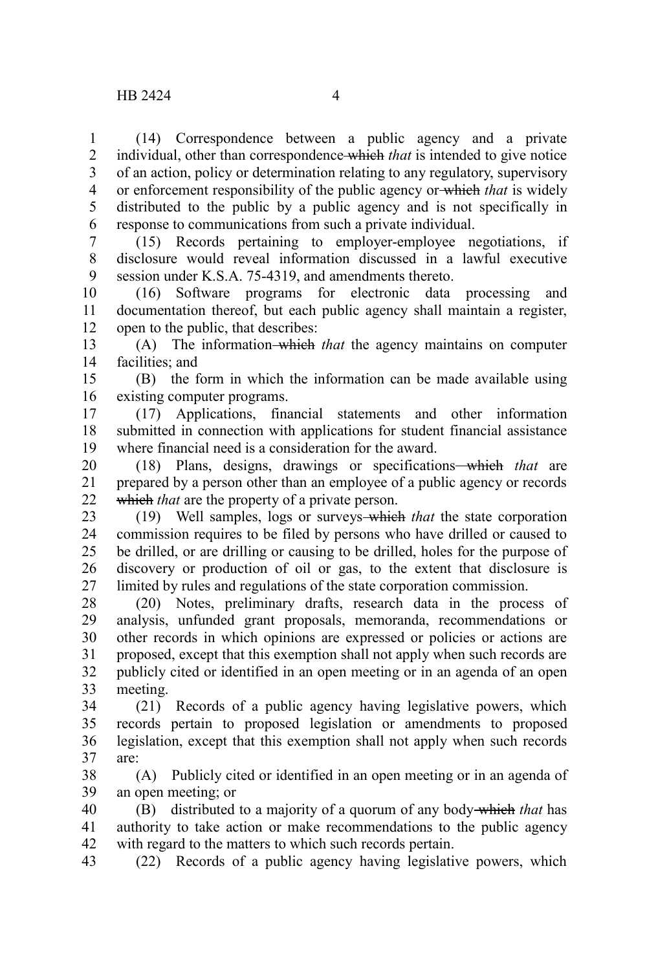(14) Correspondence between a public agency and a private individual, other than correspondence which *that* is intended to give notice of an action, policy or determination relating to any regulatory, supervisory or enforcement responsibility of the public agency or which *that* is widely distributed to the public by a public agency and is not specifically in response to communications from such a private individual. 1 2 3 4 5 6

(15) Records pertaining to employer-employee negotiations, if disclosure would reveal information discussed in a lawful executive session under K.S.A. 75-4319, and amendments thereto. 7 8 9

(16) Software programs for electronic data processing and documentation thereof, but each public agency shall maintain a register, open to the public, that describes: 10 11 12

(A) The information which *that* the agency maintains on computer facilities; and 13 14

(B) the form in which the information can be made available using existing computer programs. 15 16

(17) Applications, financial statements and other information submitted in connection with applications for student financial assistance where financial need is a consideration for the award. 17 18 19

(18) Plans, designs, drawings or specifications which *that* are prepared by a person other than an employee of a public agency or records which *that* are the property of a private person. 20 21 22

(19) Well samples, logs or surveys which *that* the state corporation commission requires to be filed by persons who have drilled or caused to be drilled, or are drilling or causing to be drilled, holes for the purpose of discovery or production of oil or gas, to the extent that disclosure is limited by rules and regulations of the state corporation commission. 23 24 25 26 27

(20) Notes, preliminary drafts, research data in the process of analysis, unfunded grant proposals, memoranda, recommendations or other records in which opinions are expressed or policies or actions are proposed, except that this exemption shall not apply when such records are publicly cited or identified in an open meeting or in an agenda of an open meeting. 28 29 30 31 32 33

(21) Records of a public agency having legislative powers, which records pertain to proposed legislation or amendments to proposed legislation, except that this exemption shall not apply when such records are: 34 35 36 37

(A) Publicly cited or identified in an open meeting or in an agenda of an open meeting; or 38 39

(B) distributed to a majority of a quorum of any body which *that* has authority to take action or make recommendations to the public agency with regard to the matters to which such records pertain. 40 41 42

(22) Records of a public agency having legislative powers, which 43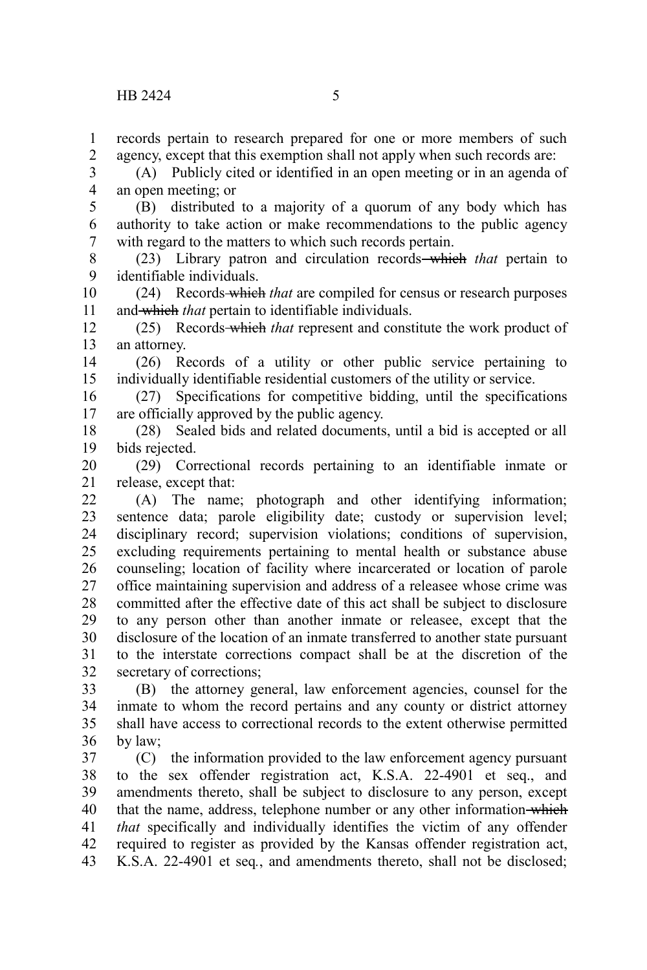records pertain to research prepared for one or more members of such agency, except that this exemption shall not apply when such records are: 1 2

(A) Publicly cited or identified in an open meeting or in an agenda of an open meeting; or 3 4

(B) distributed to a majority of a quorum of any body which has authority to take action or make recommendations to the public agency with regard to the matters to which such records pertain. 5 6 7

(23) Library patron and circulation records which *that* pertain to identifiable individuals. 8 9

(24) Records which *that* are compiled for census or research purposes and which *that* pertain to identifiable individuals. 10 11

(25) Records which *that* represent and constitute the work product of an attorney. 12 13

(26) Records of a utility or other public service pertaining to individually identifiable residential customers of the utility or service. 14 15

(27) Specifications for competitive bidding, until the specifications are officially approved by the public agency. 16 17

(28) Sealed bids and related documents, until a bid is accepted or all bids rejected. 18 19

(29) Correctional records pertaining to an identifiable inmate or release, except that: 20 21

(A) The name; photograph and other identifying information; sentence data; parole eligibility date; custody or supervision level; disciplinary record; supervision violations; conditions of supervision, excluding requirements pertaining to mental health or substance abuse counseling; location of facility where incarcerated or location of parole office maintaining supervision and address of a releasee whose crime was committed after the effective date of this act shall be subject to disclosure to any person other than another inmate or releasee, except that the disclosure of the location of an inmate transferred to another state pursuant to the interstate corrections compact shall be at the discretion of the secretary of corrections; 22 23 24 25 26 27 28 29 30 31 32

(B) the attorney general, law enforcement agencies, counsel for the inmate to whom the record pertains and any county or district attorney shall have access to correctional records to the extent otherwise permitted by law; 33 34 35 36

(C) the information provided to the law enforcement agency pursuant to the sex offender registration act, K.S.A. 22-4901 et seq., and amendments thereto, shall be subject to disclosure to any person, except that the name, address, telephone number or any other information-which *that* specifically and individually identifies the victim of any offender required to register as provided by the Kansas offender registration act, K.S.A. 22-4901 et seq*.*, and amendments thereto, shall not be disclosed; 37 38 39 40 41 42 43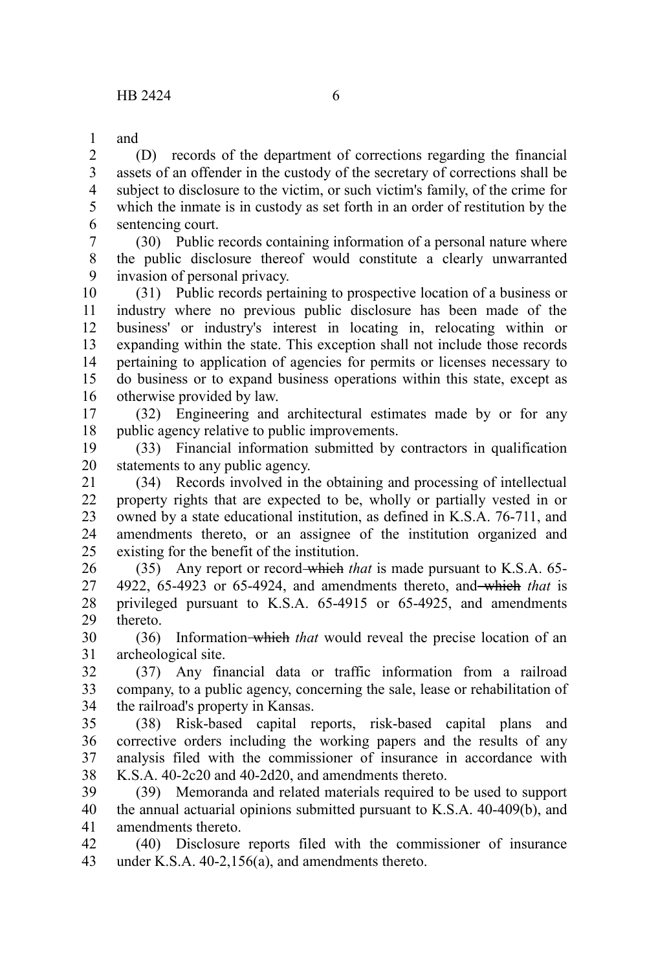and 1

(D) records of the department of corrections regarding the financial assets of an offender in the custody of the secretary of corrections shall be subject to disclosure to the victim, or such victim's family, of the crime for which the inmate is in custody as set forth in an order of restitution by the sentencing court. 2 3 4 5 6

(30) Public records containing information of a personal nature where the public disclosure thereof would constitute a clearly unwarranted invasion of personal privacy. 7 8 9

(31) Public records pertaining to prospective location of a business or industry where no previous public disclosure has been made of the business' or industry's interest in locating in, relocating within or expanding within the state. This exception shall not include those records pertaining to application of agencies for permits or licenses necessary to do business or to expand business operations within this state, except as otherwise provided by law. 10 11 12 13 14 15 16

(32) Engineering and architectural estimates made by or for any public agency relative to public improvements. 17 18

(33) Financial information submitted by contractors in qualification statements to any public agency. 19 20

(34) Records involved in the obtaining and processing of intellectual property rights that are expected to be, wholly or partially vested in or owned by a state educational institution, as defined in K.S.A. 76-711, and amendments thereto, or an assignee of the institution organized and existing for the benefit of the institution. 21 22 23 24 25

(35) Any report or record which *that* is made pursuant to K.S.A. 65- 4922, 65-4923 or 65-4924, and amendments thereto, and which *that* is privileged pursuant to K.S.A. 65-4915 or 65-4925, and amendments thereto. 26 27 28 29

(36) Information which *that* would reveal the precise location of an archeological site. 30 31

(37) Any financial data or traffic information from a railroad company, to a public agency, concerning the sale, lease or rehabilitation of the railroad's property in Kansas. 32 33 34

(38) Risk-based capital reports, risk-based capital plans and corrective orders including the working papers and the results of any analysis filed with the commissioner of insurance in accordance with K.S.A. 40-2c20 and 40-2d20, and amendments thereto. 35 36 37 38

(39) Memoranda and related materials required to be used to support the annual actuarial opinions submitted pursuant to K.S.A. 40-409(b), and amendments thereto. 39 40 41

(40) Disclosure reports filed with the commissioner of insurance under K.S.A. 40-2,156(a), and amendments thereto. 42 43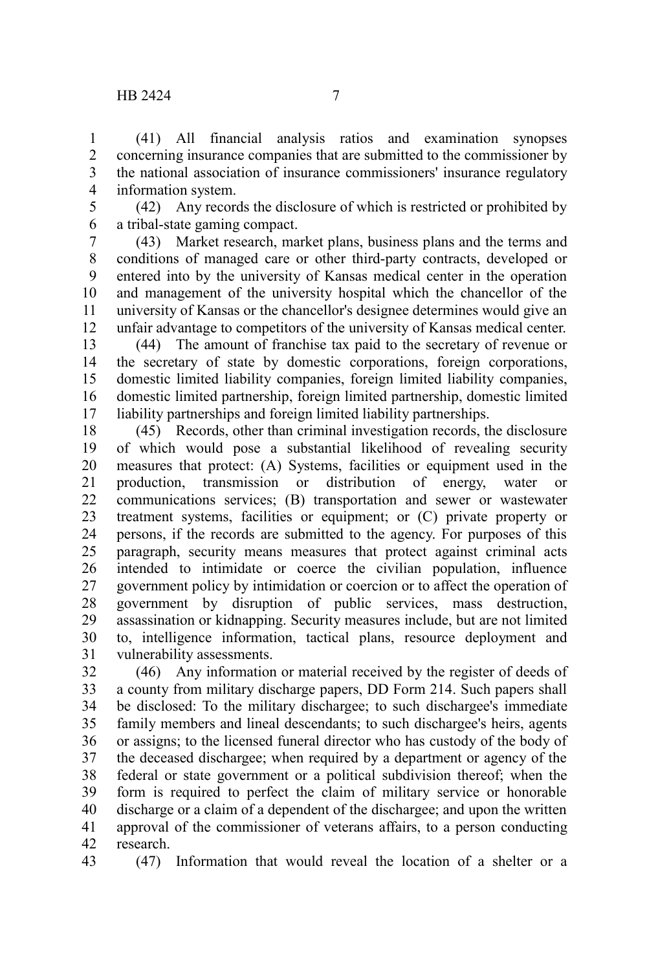(41) All financial analysis ratios and examination synopses concerning insurance companies that are submitted to the commissioner by the national association of insurance commissioners' insurance regulatory information system. 1 2 3 4

5 6

(42) Any records the disclosure of which is restricted or prohibited by a tribal-state gaming compact.

(43) Market research, market plans, business plans and the terms and conditions of managed care or other third-party contracts, developed or entered into by the university of Kansas medical center in the operation and management of the university hospital which the chancellor of the university of Kansas or the chancellor's designee determines would give an unfair advantage to competitors of the university of Kansas medical center. 7 8 9 10 11 12

(44) The amount of franchise tax paid to the secretary of revenue or the secretary of state by domestic corporations, foreign corporations, domestic limited liability companies, foreign limited liability companies, domestic limited partnership, foreign limited partnership, domestic limited liability partnerships and foreign limited liability partnerships. 13 14 15 16 17

(45) Records, other than criminal investigation records, the disclosure of which would pose a substantial likelihood of revealing security measures that protect: (A) Systems, facilities or equipment used in the production, transmission or distribution of energy, water or communications services; (B) transportation and sewer or wastewater treatment systems, facilities or equipment; or (C) private property or persons, if the records are submitted to the agency. For purposes of this paragraph, security means measures that protect against criminal acts intended to intimidate or coerce the civilian population, influence government policy by intimidation or coercion or to affect the operation of government by disruption of public services, mass destruction, assassination or kidnapping. Security measures include, but are not limited to, intelligence information, tactical plans, resource deployment and vulnerability assessments. 18 19 20 21 22 23 24 25 26 27 28 29 30 31

(46) Any information or material received by the register of deeds of a county from military discharge papers, DD Form 214. Such papers shall be disclosed: To the military dischargee; to such dischargee's immediate family members and lineal descendants; to such dischargee's heirs, agents or assigns; to the licensed funeral director who has custody of the body of the deceased dischargee; when required by a department or agency of the federal or state government or a political subdivision thereof; when the form is required to perfect the claim of military service or honorable discharge or a claim of a dependent of the dischargee; and upon the written approval of the commissioner of veterans affairs, to a person conducting research. 32 33 34 35 36 37 38 39 40 41 42

43

(47) Information that would reveal the location of a shelter or a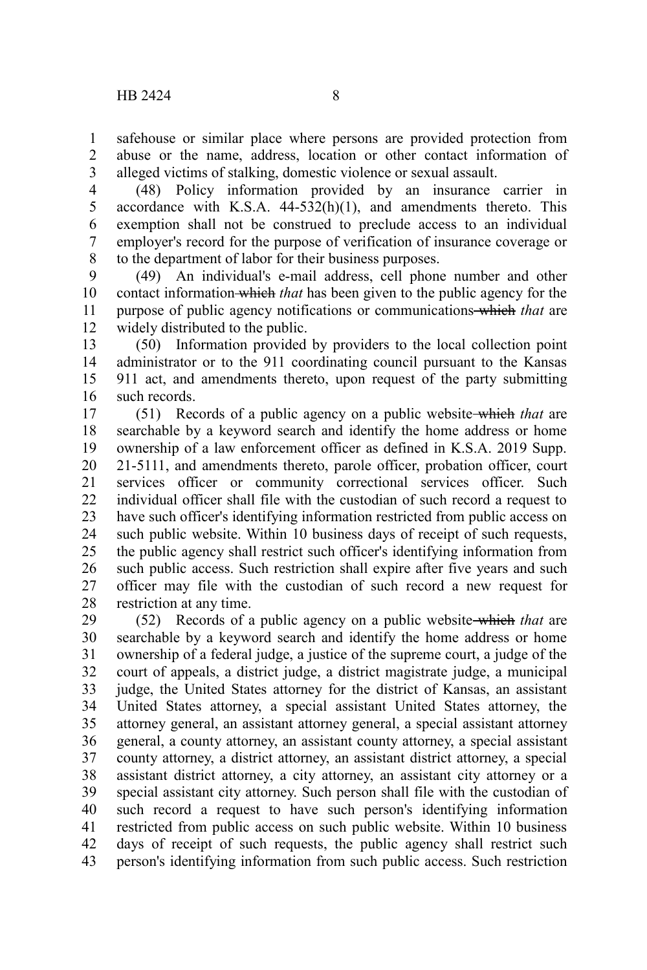safehouse or similar place where persons are provided protection from abuse or the name, address, location or other contact information of alleged victims of stalking, domestic violence or sexual assault. 1 2 3

(48) Policy information provided by an insurance carrier in accordance with K.S.A.  $44-532(h)(1)$ , and amendments thereto. This exemption shall not be construed to preclude access to an individual employer's record for the purpose of verification of insurance coverage or to the department of labor for their business purposes. 4 5 6 7 8

(49) An individual's e-mail address, cell phone number and other contact information which *that* has been given to the public agency for the purpose of public agency notifications or communications which *that* are widely distributed to the public. 9 10 11 12

(50) Information provided by providers to the local collection point administrator or to the 911 coordinating council pursuant to the Kansas 911 act, and amendments thereto, upon request of the party submitting such records. 13 14 15 16

(51) Records of a public agency on a public website which *that* are searchable by a keyword search and identify the home address or home ownership of a law enforcement officer as defined in K.S.A. 2019 Supp. 21-5111, and amendments thereto, parole officer, probation officer, court services officer or community correctional services officer. Such individual officer shall file with the custodian of such record a request to have such officer's identifying information restricted from public access on such public website. Within 10 business days of receipt of such requests, the public agency shall restrict such officer's identifying information from such public access. Such restriction shall expire after five years and such officer may file with the custodian of such record a new request for restriction at any time. 17 18 19 20 21 22 23 24 25 26 27 28

(52) Records of a public agency on a public website which *that* are searchable by a keyword search and identify the home address or home ownership of a federal judge, a justice of the supreme court, a judge of the court of appeals, a district judge, a district magistrate judge, a municipal judge, the United States attorney for the district of Kansas, an assistant United States attorney, a special assistant United States attorney, the attorney general, an assistant attorney general, a special assistant attorney general, a county attorney, an assistant county attorney, a special assistant county attorney, a district attorney, an assistant district attorney, a special assistant district attorney, a city attorney, an assistant city attorney or a special assistant city attorney. Such person shall file with the custodian of such record a request to have such person's identifying information restricted from public access on such public website. Within 10 business days of receipt of such requests, the public agency shall restrict such person's identifying information from such public access. Such restriction 29 30 31 32 33 34 35 36 37 38 39 40 41 42 43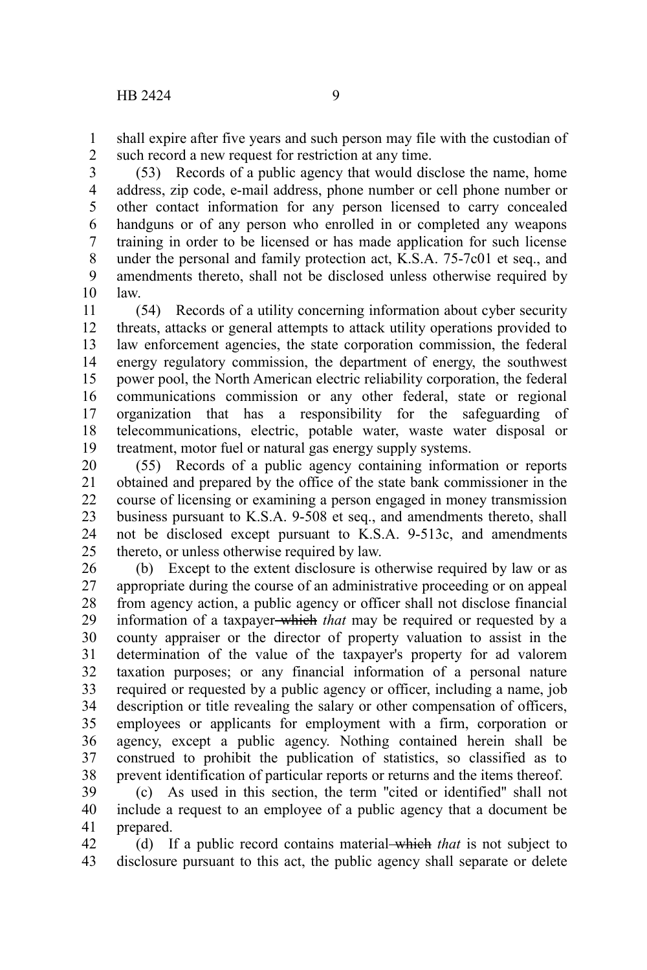shall expire after five years and such person may file with the custodian of such record a new request for restriction at any time. 1 2

(53) Records of a public agency that would disclose the name, home address, zip code, e-mail address, phone number or cell phone number or other contact information for any person licensed to carry concealed handguns or of any person who enrolled in or completed any weapons training in order to be licensed or has made application for such license under the personal and family protection act, K.S.A. 75-7c01 et seq., and amendments thereto, shall not be disclosed unless otherwise required by law. 3 4 5 6 7 8 9 10

(54) Records of a utility concerning information about cyber security threats, attacks or general attempts to attack utility operations provided to law enforcement agencies, the state corporation commission, the federal energy regulatory commission, the department of energy, the southwest power pool, the North American electric reliability corporation, the federal communications commission or any other federal, state or regional organization that has a responsibility for the safeguarding of telecommunications, electric, potable water, waste water disposal or treatment, motor fuel or natural gas energy supply systems. 11 12 13 14 15 16 17 18 19

(55) Records of a public agency containing information or reports obtained and prepared by the office of the state bank commissioner in the course of licensing or examining a person engaged in money transmission business pursuant to K.S.A. 9-508 et seq., and amendments thereto, shall not be disclosed except pursuant to K.S.A. 9-513c, and amendments thereto, or unless otherwise required by law. 20 21 22 23 24 25

(b) Except to the extent disclosure is otherwise required by law or as appropriate during the course of an administrative proceeding or on appeal from agency action, a public agency or officer shall not disclose financial information of a taxpayer which *that* may be required or requested by a county appraiser or the director of property valuation to assist in the determination of the value of the taxpayer's property for ad valorem taxation purposes; or any financial information of a personal nature required or requested by a public agency or officer, including a name, job description or title revealing the salary or other compensation of officers, employees or applicants for employment with a firm, corporation or agency, except a public agency. Nothing contained herein shall be construed to prohibit the publication of statistics, so classified as to prevent identification of particular reports or returns and the items thereof. 26 27 28 29 30 31 32 33 34 35 36 37 38

(c) As used in this section, the term ''cited or identified'' shall not include a request to an employee of a public agency that a document be prepared. 39 40 41

(d) If a public record contains material which *that* is not subject to disclosure pursuant to this act, the public agency shall separate or delete 42 43